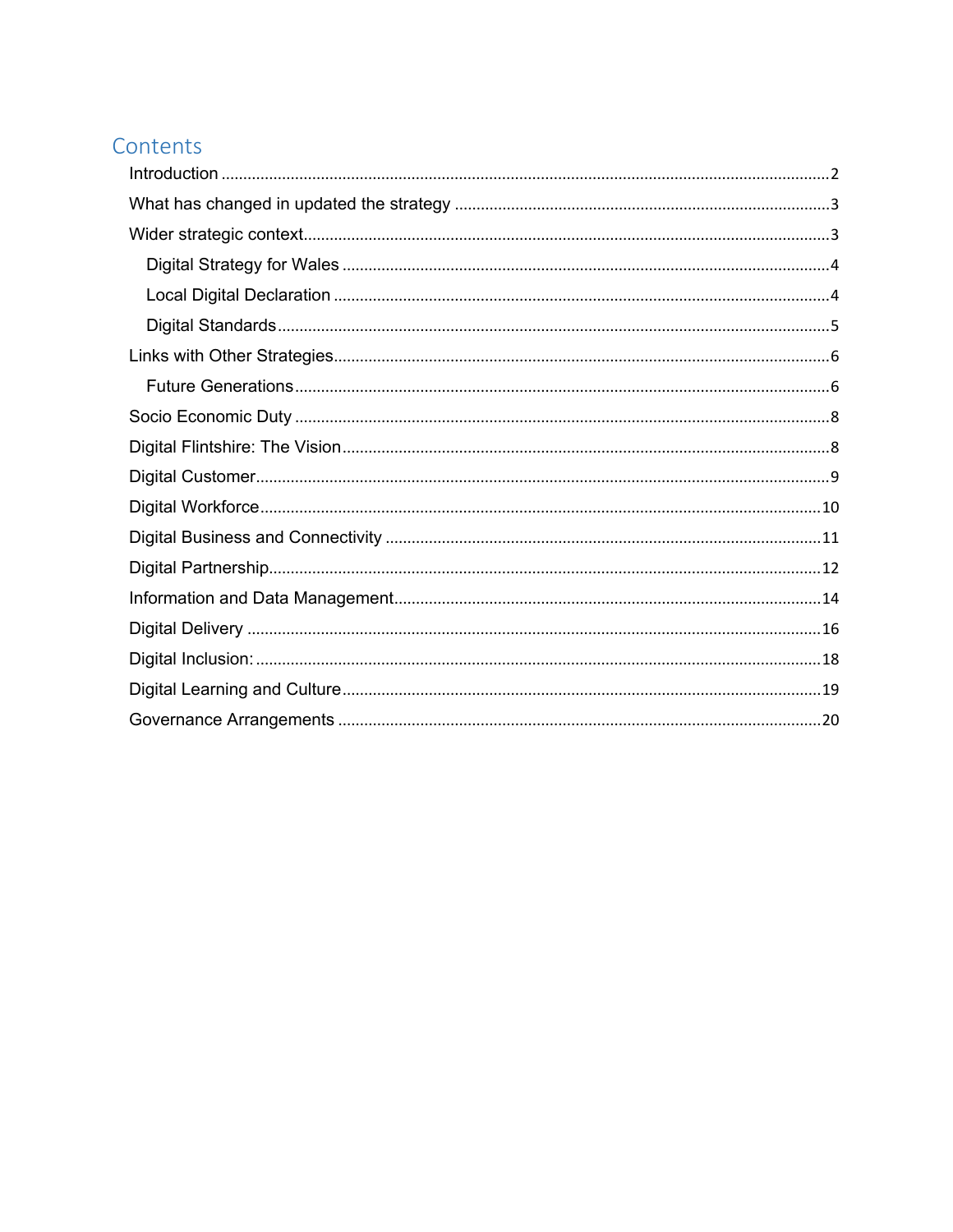# Contents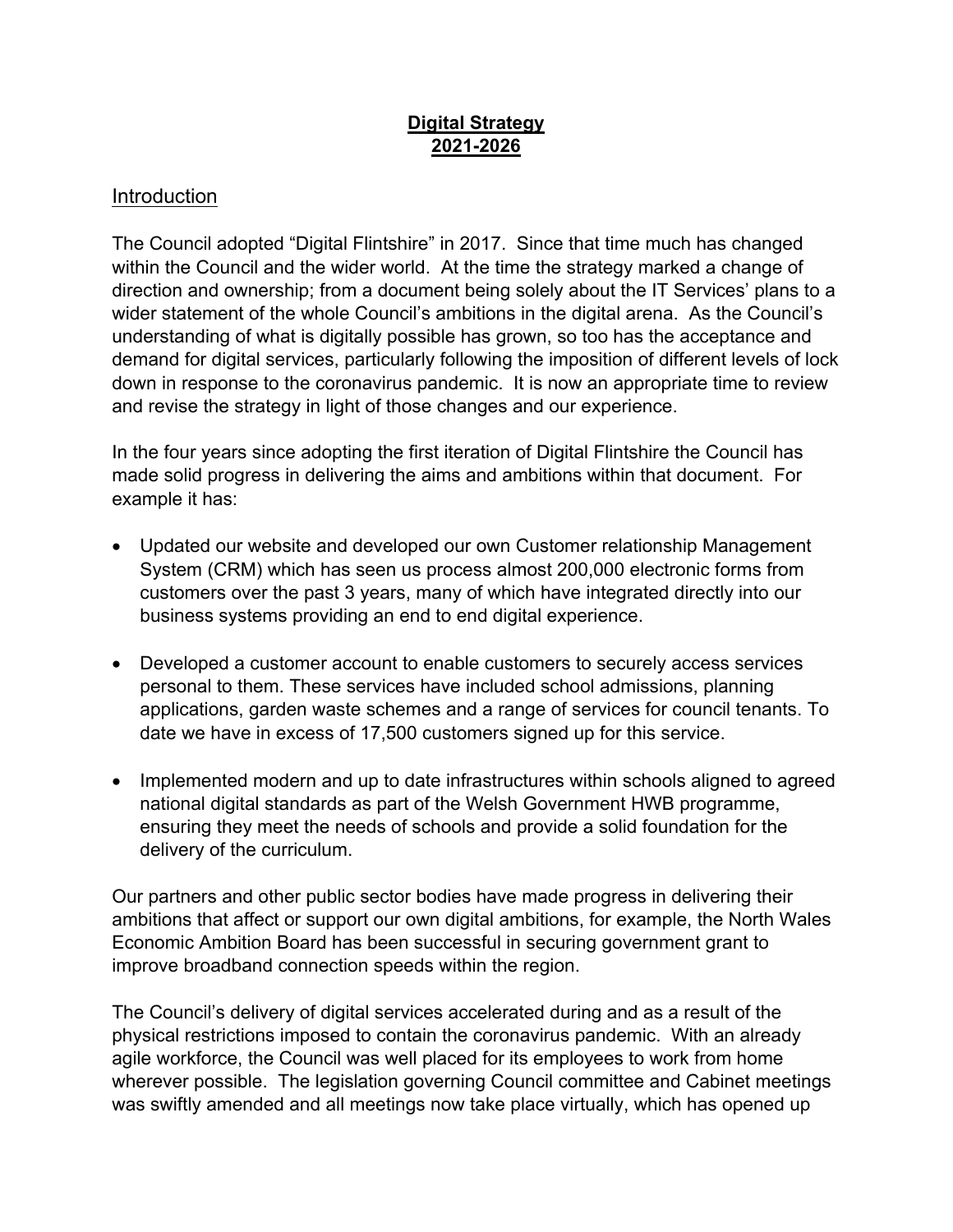### **Digital Strategy 2021-2026**

#### <span id="page-1-0"></span>Introduction

The Council adopted "Digital Flintshire" in 2017. Since that time much has changed within the Council and the wider world. At the time the strategy marked a change of direction and ownership; from a document being solely about the IT Services' plans to a wider statement of the whole Council's ambitions in the digital arena. As the Council's understanding of what is digitally possible has grown, so too has the acceptance and demand for digital services, particularly following the imposition of different levels of lock down in response to the coronavirus pandemic. It is now an appropriate time to review and revise the strategy in light of those changes and our experience.

In the four years since adopting the first iteration of Digital Flintshire the Council has made solid progress in delivering the aims and ambitions within that document. For example it has:

- Updated our website and developed our own Customer relationship Management System (CRM) which has seen us process almost 200,000 electronic forms from customers over the past 3 years, many of which have integrated directly into our business systems providing an end to end digital experience.
- Developed a customer account to enable customers to securely access services personal to them. These services have included school admissions, planning applications, garden waste schemes and a range of services for council tenants. To date we have in excess of 17,500 customers signed up for this service.
- Implemented modern and up to date infrastructures within schools aligned to agreed national digital standards as part of the Welsh Government HWB programme, ensuring they meet the needs of schools and provide a solid foundation for the delivery of the curriculum.

Our partners and other public sector bodies have made progress in delivering their ambitions that affect or support our own digital ambitions, for example, the North Wales Economic Ambition Board has been successful in securing government grant to improve broadband connection speeds within the region.

The Council's delivery of digital services accelerated during and as a result of the physical restrictions imposed to contain the coronavirus pandemic. With an already agile workforce, the Council was well placed for its employees to work from home wherever possible. The legislation governing Council committee and Cabinet meetings was swiftly amended and all meetings now take place virtually, which has opened up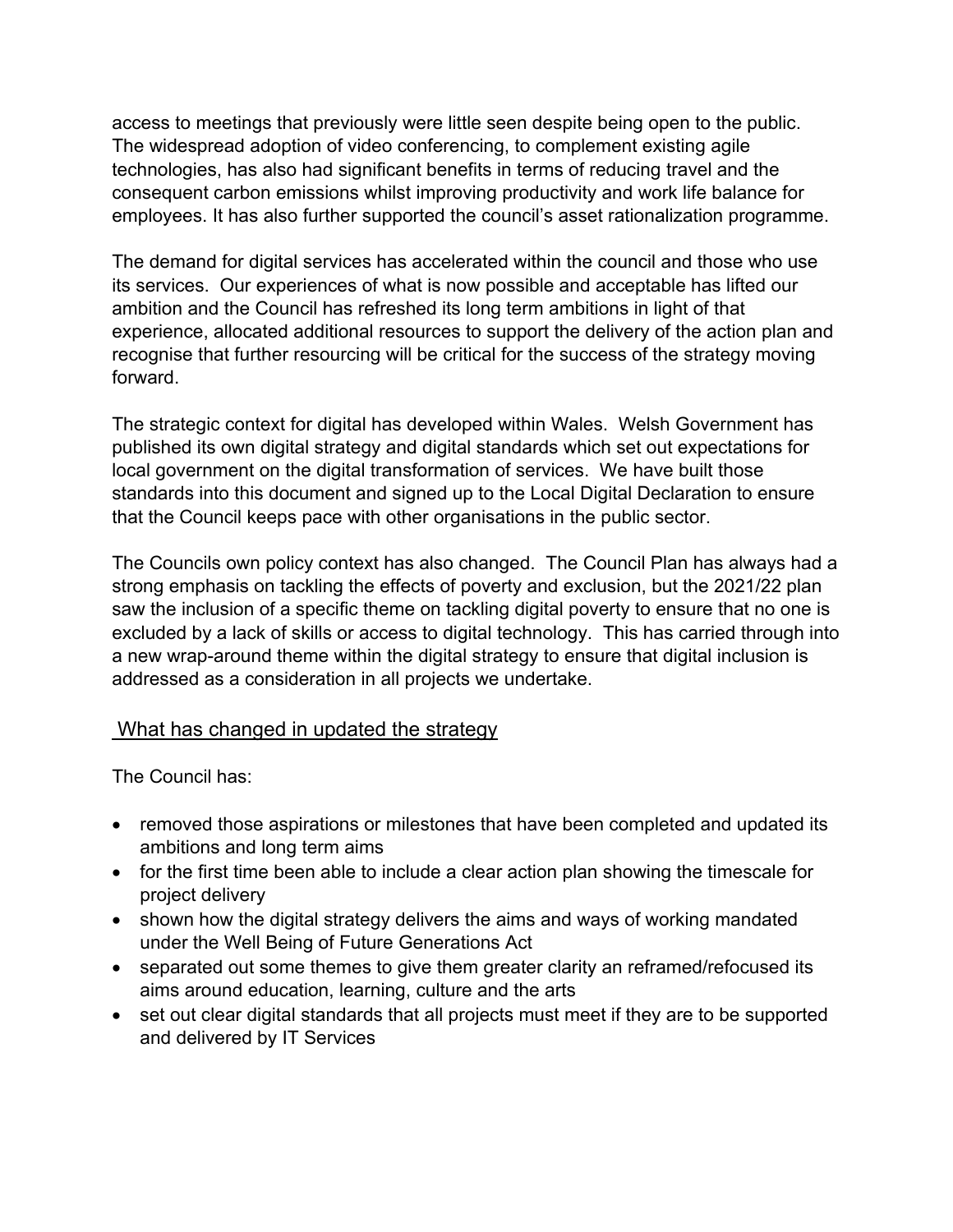access to meetings that previously were little seen despite being open to the public. The widespread adoption of video conferencing, to complement existing agile technologies, has also had significant benefits in terms of reducing travel and the consequent carbon emissions whilst improving productivity and work life balance for employees. It has also further supported the council's asset rationalization programme.

The demand for digital services has accelerated within the council and those who use its services. Our experiences of what is now possible and acceptable has lifted our ambition and the Council has refreshed its long term ambitions in light of that experience, allocated additional resources to support the delivery of the action plan and recognise that further resourcing will be critical for the success of the strategy moving forward.

The strategic context for digital has developed within Wales. Welsh Government has published its own digital strategy and digital standards which set out expectations for local government on the digital transformation of services. We have built those standards into this document and signed up to the Local Digital Declaration to ensure that the Council keeps pace with other organisations in the public sector.

The Councils own policy context has also changed. The Council Plan has always had a strong emphasis on tackling the effects of poverty and exclusion, but the 2021/22 plan saw the inclusion of a specific theme on tackling digital poverty to ensure that no one is excluded by a lack of skills or access to digital technology. This has carried through into a new wrap-around theme within the digital strategy to ensure that digital inclusion is addressed as a consideration in all projects we undertake.

### <span id="page-2-0"></span>What has changed in updated the strategy

The Council has:

- removed those aspirations or milestones that have been completed and updated its ambitions and long term aims
- for the first time been able to include a clear action plan showing the timescale for project delivery
- shown how the digital strategy delivers the aims and ways of working mandated under the Well Being of Future Generations Act
- separated out some themes to give them greater clarity an reframed/refocused its aims around education, learning, culture and the arts
- set out clear digital standards that all projects must meet if they are to be supported and delivered by IT Services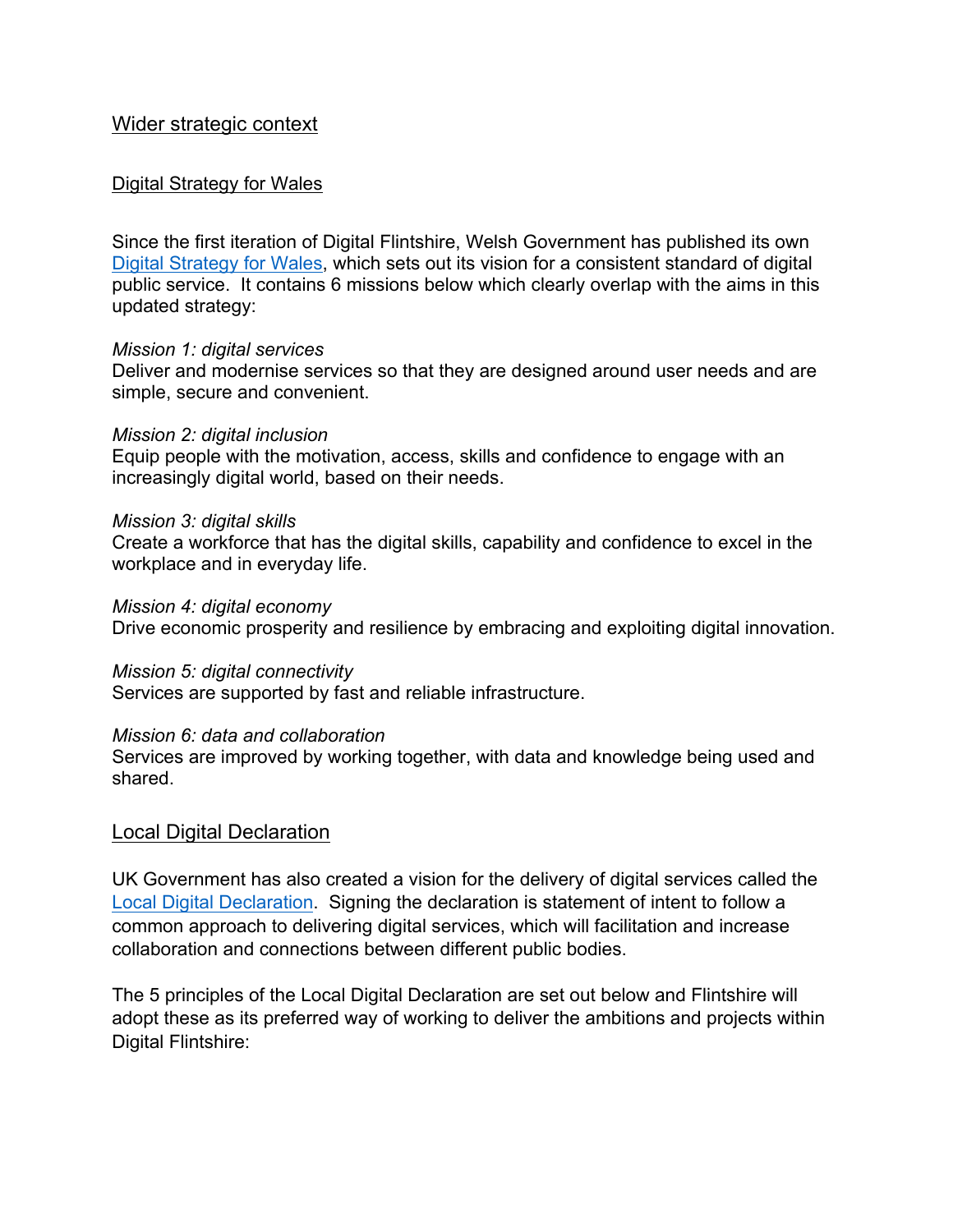#### <span id="page-3-0"></span>Wider strategic context

#### <span id="page-3-1"></span>Digital Strategy for Wales

Since the first iteration of Digital Flintshire, Welsh Government has published its own Digital [Strategy](https://gov.wales/digital-strategy-wales-html) for Wales, which sets out its vision for a consistent standard of digital public service. It contains 6 missions below which clearly overlap with the aims in this updated strategy:

#### *Mission 1: digital services*

Deliver and modernise services so that they are designed around user needs and are simple, secure and convenient.

#### *Mission 2: digital inclusion*

Equip people with the motivation, access, skills and confidence to engage with an increasingly digital world, based on their needs.

#### *Mission 3: digital skills*

Create a workforce that has the digital skills, capability and confidence to excel in the workplace and in everyday life.

#### *Mission 4: digital economy*

Drive economic prosperity and resilience by embracing and exploiting digital innovation.

#### *Mission 5: digital connectivity*

Services are supported by fast and reliable infrastructure.

#### *Mission 6: data and collaboration*

Services are improved by working together, with data and knowledge being used and shared.

#### <span id="page-3-2"></span>Local Digital Declaration

UK Government has also created a vision for the delivery of digital services called the Local Digital [Declaration](https://localdigital.gov.uk/declaration/). Signing the declaration is statement of intent to follow a common approach to delivering digital services, which will facilitation and increase collaboration and connections between different public bodies.

The 5 principles of the Local Digital Declaration are set out below and Flintshire will adopt these as its preferred way of working to deliver the ambitions and projects within Digital Flintshire: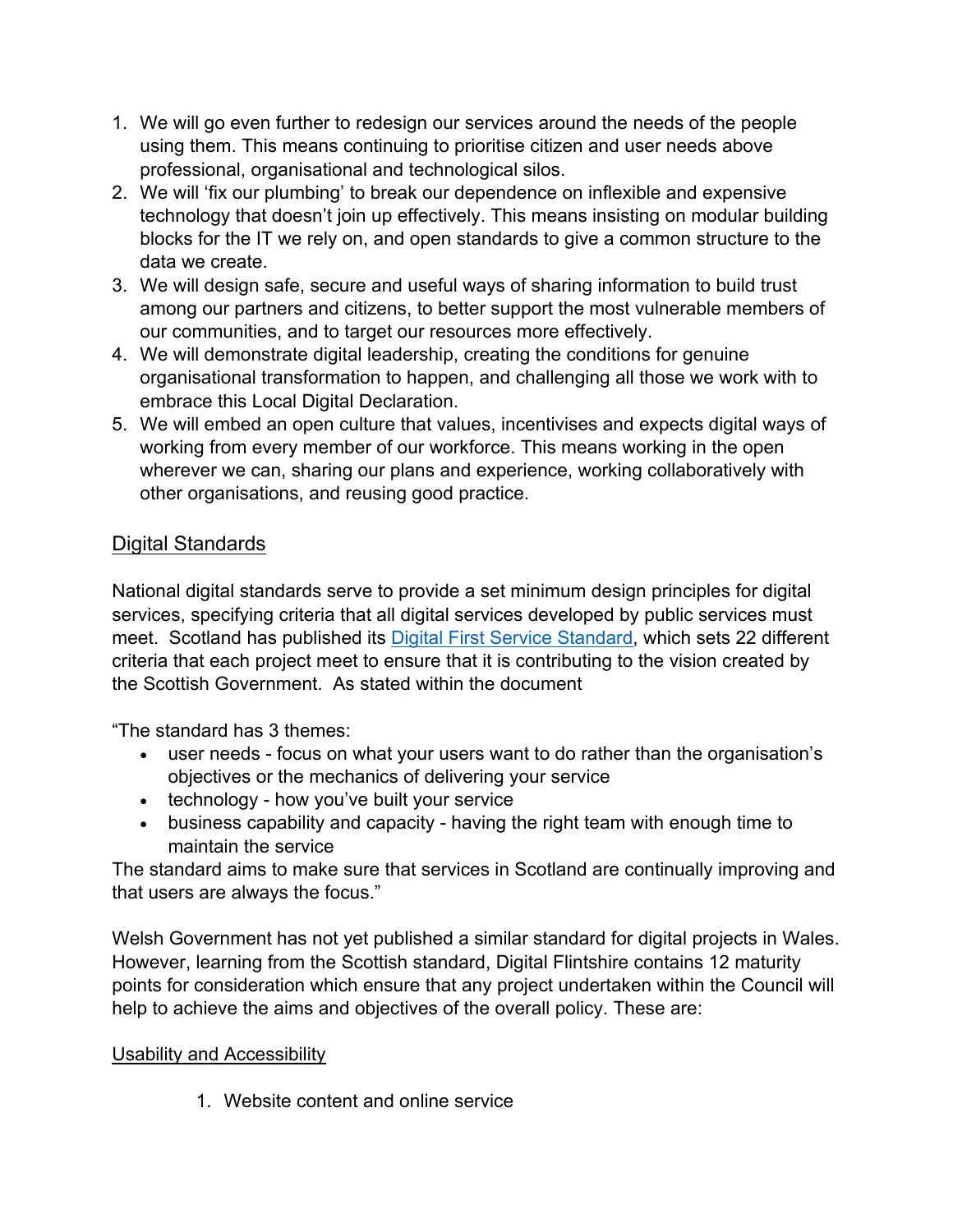- 1. We will go even further to redesign our services around the needs of the people using them. This means continuing to prioritise citizen and user needs above professional, organisational and technological silos.
- 2. We will 'fix our plumbing' to break our dependence on inflexible and expensive technology that doesn't join up effectively. This means insisting on modular building blocks for the IT we rely on, and open standards to give a common structure to the data we create.
- 3. We will design safe, secure and useful ways of sharing information to build trust among our partners and citizens, to better support the most vulnerable members of our communities, and to target our resources more effectively.
- 4. We will demonstrate digital leadership, creating the conditions for genuine organisational transformation to happen, and challenging all those we work with to embrace this Local Digital Declaration.
- 5. We will embed an open culture that values, incentivises and expects digital ways of working from every member of our workforce. This means working in the open wherever we can, sharing our plans and experience, working collaboratively with other organisations, and reusing good practice.

### <span id="page-4-0"></span>Digital Standards

National digital standards serve to provide a set minimum design principles for digital services, specifying criteria that all digital services developed by public services must meet. Scotland has published its Digital First Service [Standard,](https://resources.mygov.scot/standards/digital-first/) which sets 22 different criteria that each project meet to ensure that it is contributing to the vision created by the Scottish Government. As stated within the document

"The standard has 3 themes:

- user needs focus on what your users want to do rather than the organisation's objectives or the mechanics of delivering your service
- technology how you've built your service
- business capability and capacity having the right team with enough time to maintain the service

The standard aims to make sure that services in Scotland are continually improving and that users are always the focus."

Welsh Government has not yet published a similar standard for digital projects in Wales. However, learning from the Scottish standard, Digital Flintshire contains 12 maturity points for consideration which ensure that any project undertaken within the Council will help to achieve the aims and objectives of the overall policy. These are:

#### Usability and Accessibility

1. Website content and online service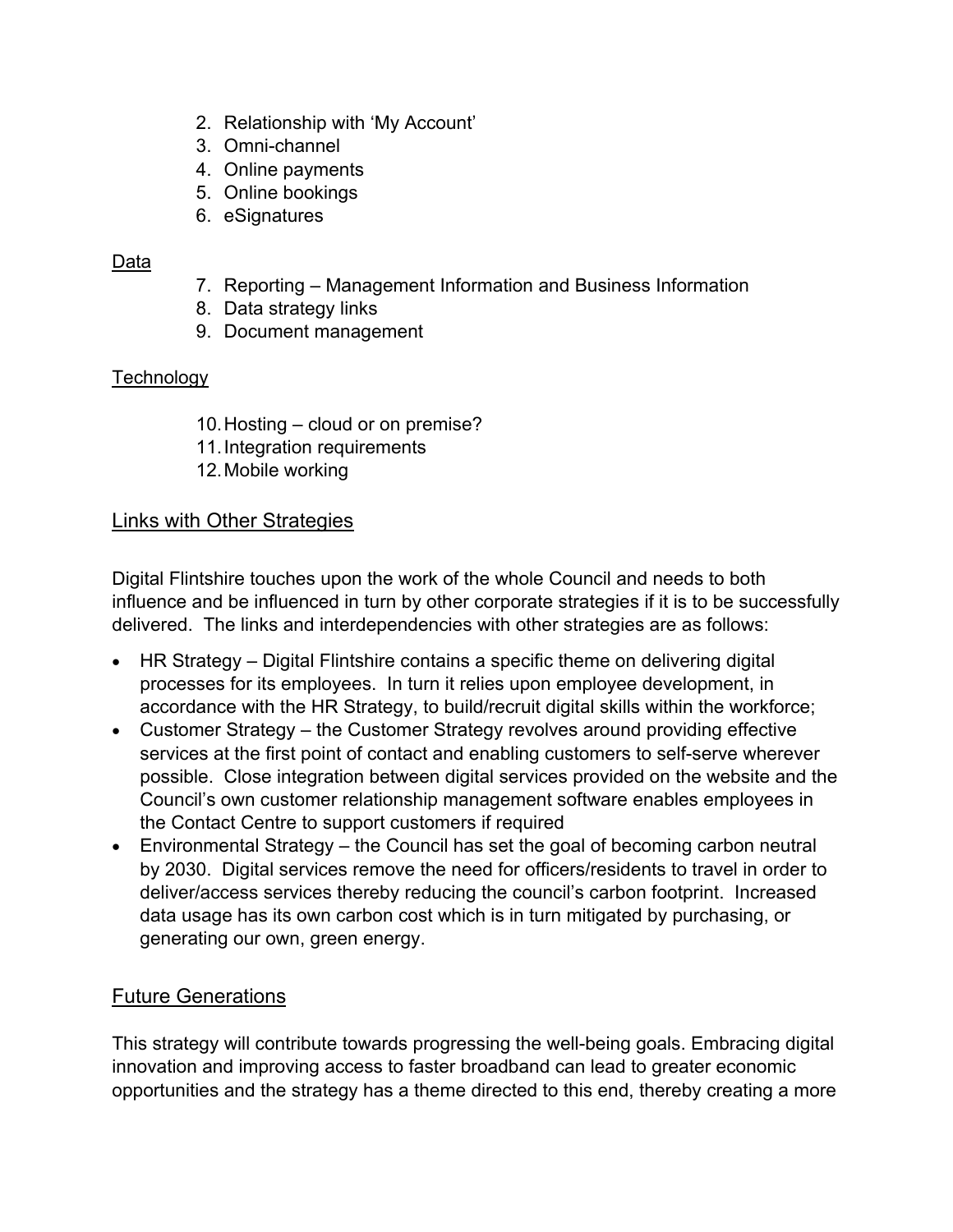- 2. Relationship with 'My Account'
- 3. Omni-channel
- 4. Online payments
- 5. Online bookings
- 6. eSignatures

### Data

- 7. Reporting Management Information and Business Information
- 8. Data strategy links
- 9. Document management

## **Technology**

- 10.Hosting cloud or on premise?
- 11.Integration requirements
- 12.Mobile working

## <span id="page-5-0"></span>Links with Other Strategies

Digital Flintshire touches upon the work of the whole Council and needs to both influence and be influenced in turn by other corporate strategies if it is to be successfully delivered. The links and interdependencies with other strategies are as follows:

- HR Strategy Digital Flintshire contains a specific theme on delivering digital processes for its employees. In turn it relies upon employee development, in accordance with the HR Strategy, to build/recruit digital skills within the workforce;
- Customer Strategy the Customer Strategy revolves around providing effective services at the first point of contact and enabling customers to self-serve wherever possible. Close integration between digital services provided on the website and the Council's own customer relationship management software enables employees in the Contact Centre to support customers if required
- Environmental Strategy the Council has set the goal of becoming carbon neutral by 2030. Digital services remove the need for officers/residents to travel in order to deliver/access services thereby reducing the council's carbon footprint. Increased data usage has its own carbon cost which is in turn mitigated by purchasing, or generating our own, green energy.

## <span id="page-5-1"></span>Future Generations

This strategy will contribute towards progressing the well-being goals. Embracing digital innovation and improving access to faster broadband can lead to greater economic opportunities and the strategy has a theme directed to this end, thereby creating a more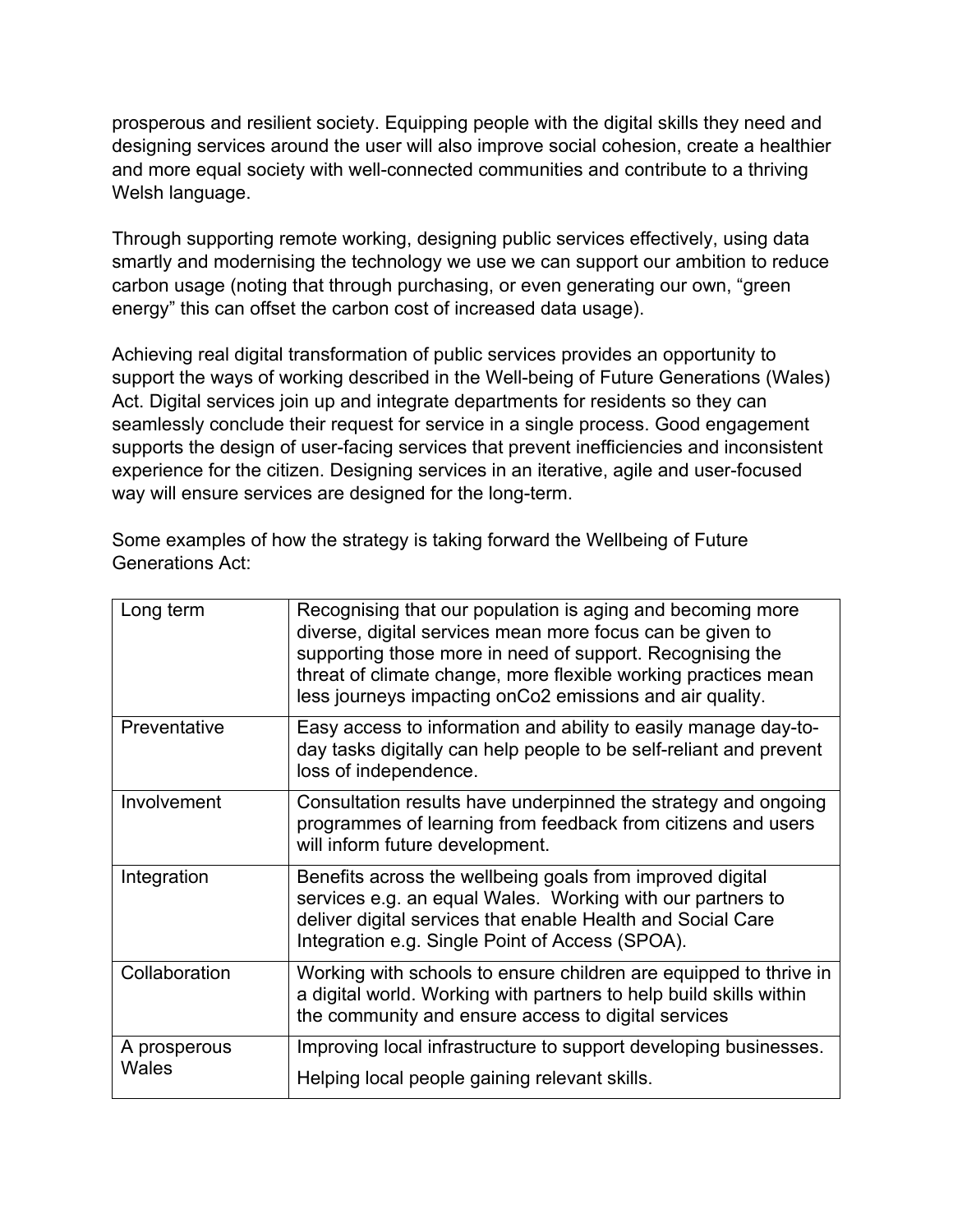prosperous and resilient society. Equipping people with the digital skills they need and designing services around the user will also improve social cohesion, create a healthier and more equal society with well-connected communities and contribute to a thriving Welsh language.

Through supporting remote working, designing public services effectively, using data smartly and modernising the technology we use we can support our ambition to reduce carbon usage (noting that through purchasing, or even generating our own, "green energy" this can offset the carbon cost of increased data usage).

Achieving real digital transformation of public services provides an opportunity to support the ways of working described in the Well-being of Future Generations (Wales) Act. Digital services join up and integrate departments for residents so they can seamlessly conclude their request for service in a single process. Good engagement supports the design of user-facing services that prevent inefficiencies and inconsistent experience for the citizen. Designing services in an iterative, agile and user-focused way will ensure services are designed for the long-term.

Some examples of how the strategy is taking forward the Wellbeing of Future Generations Act:

| Long term             | Recognising that our population is aging and becoming more<br>diverse, digital services mean more focus can be given to<br>supporting those more in need of support. Recognising the<br>threat of climate change, more flexible working practices mean<br>less journeys impacting onCo2 emissions and air quality. |
|-----------------------|--------------------------------------------------------------------------------------------------------------------------------------------------------------------------------------------------------------------------------------------------------------------------------------------------------------------|
| Preventative          | Easy access to information and ability to easily manage day-to-<br>day tasks digitally can help people to be self-reliant and prevent<br>loss of independence.                                                                                                                                                     |
| Involvement           | Consultation results have underpinned the strategy and ongoing<br>programmes of learning from feedback from citizens and users<br>will inform future development.                                                                                                                                                  |
| Integration           | Benefits across the wellbeing goals from improved digital<br>services e.g. an equal Wales. Working with our partners to<br>deliver digital services that enable Health and Social Care<br>Integration e.g. Single Point of Access (SPOA).                                                                          |
| Collaboration         | Working with schools to ensure children are equipped to thrive in<br>a digital world. Working with partners to help build skills within<br>the community and ensure access to digital services                                                                                                                     |
| A prosperous<br>Wales | Improving local infrastructure to support developing businesses.<br>Helping local people gaining relevant skills.                                                                                                                                                                                                  |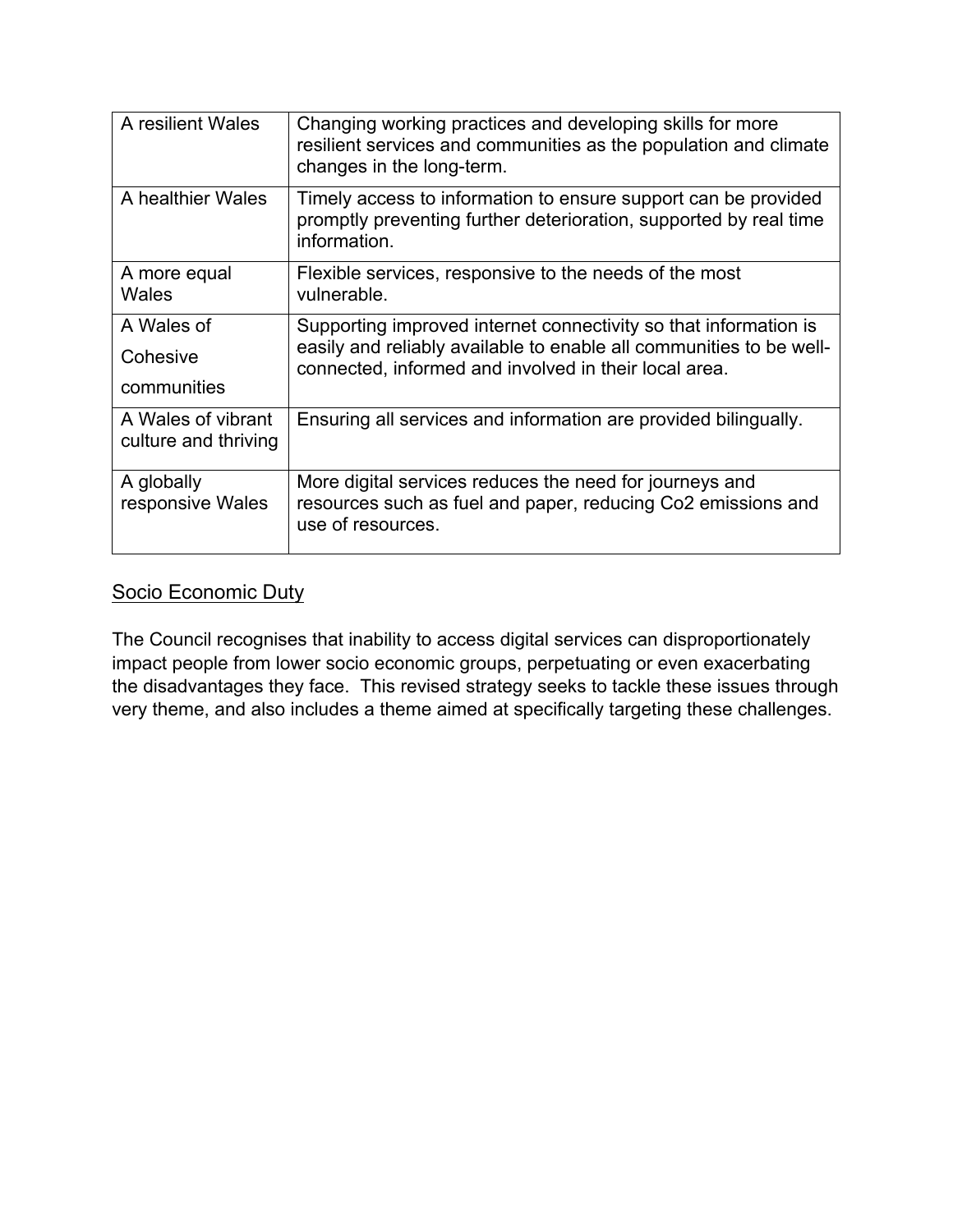| A resilient Wales                          | Changing working practices and developing skills for more<br>resilient services and communities as the population and climate<br>changes in the long-term.                                       |
|--------------------------------------------|--------------------------------------------------------------------------------------------------------------------------------------------------------------------------------------------------|
| A healthier Wales                          | Timely access to information to ensure support can be provided<br>promptly preventing further deterioration, supported by real time<br>information.                                              |
| A more equal<br>Wales                      | Flexible services, responsive to the needs of the most<br>vulnerable.                                                                                                                            |
| A Wales of<br>Cohesive<br>communities      | Supporting improved internet connectivity so that information is<br>easily and reliably available to enable all communities to be well-<br>connected, informed and involved in their local area. |
| A Wales of vibrant<br>culture and thriving | Ensuring all services and information are provided bilingually.                                                                                                                                  |
| A globally<br>responsive Wales             | More digital services reduces the need for journeys and<br>resources such as fuel and paper, reducing Co2 emissions and<br>use of resources.                                                     |

## <span id="page-7-0"></span>Socio Economic Duty

The Council recognises that inability to access digital services can disproportionately impact people from lower socio economic groups, perpetuating or even exacerbating the disadvantages they face. This revised strategy seeks to tackle these issues through very theme, and also includes a theme aimed at specifically targeting these challenges.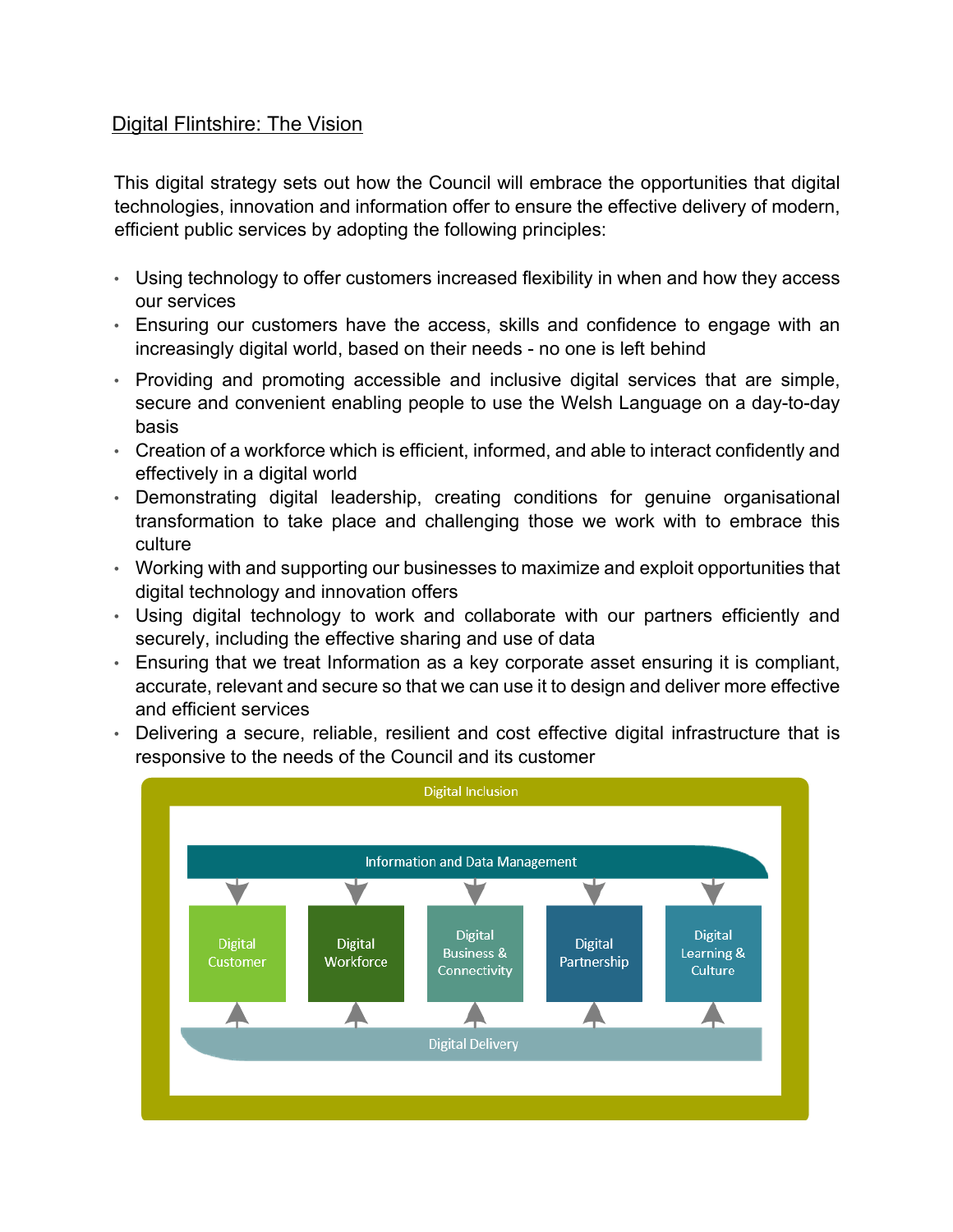### <span id="page-8-0"></span>Digital Flintshire: The Vision

This digital strategy sets out how the Council will embrace the opportunities that digital technologies, innovation and information offer to ensure the effective delivery of modern, efficient public services by adopting the following principles:

- Using technology to offer customers increased flexibility in when and how they access our services
- Ensuring our customers have the access, skills and confidence to engage with an increasingly digital world, based on their needs - no one is left behind
- Providing and promoting accessible and inclusive digital services that are simple, secure and convenient enabling people to use the Welsh Language on a day-to-day basis
- Creation of a workforce which is efficient, informed, and able to interact confidently and effectively in a digital world
- Demonstrating digital leadership, creating conditions for genuine organisational transformation to take place and challenging those we work with to embrace this culture
- Working with and supporting our businesses to maximize and exploit opportunities that digital technology and innovation offers
- Using digital technology to work and collaborate with our partners efficiently and securely, including the effective sharing and use of data
- Ensuring that we treat Information as a key corporate asset ensuring it is compliant, accurate, relevant and secure so that we can use it to design and deliver more effective and efficient services
- Delivering a secure, reliable, resilient and cost effective digital infrastructure that is responsive to the needs of the Council and its customer

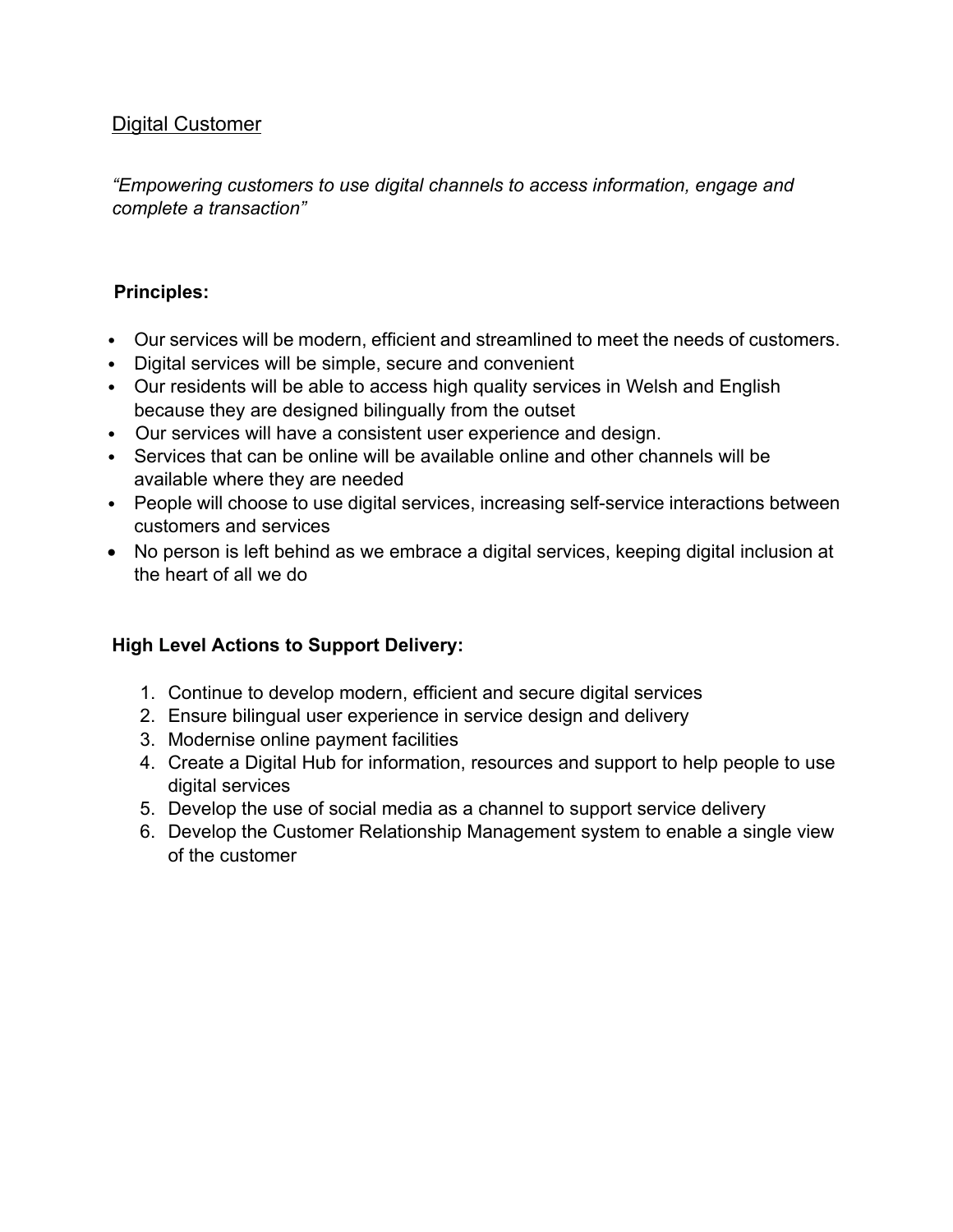### <span id="page-9-0"></span>Digital Customer

*"Empowering customers to use digital channels to access information, engage and complete a transaction"* 

### **Principles:**

- Our services will be modern, efficient and streamlined to meet the needs of customers.
- Digital services will be simple, secure and convenient
- Our residents will be able to access high quality services in Welsh and English because they are designed bilingually from the outset
- Our services will have a consistent user experience and design.
- Services that can be online will be available online and other channels will be available where they are needed
- People will choose to use digital services, increasing self-service interactions between customers and services
- No person is left behind as we embrace a digital services, keeping digital inclusion at the heart of all we do

- 1. Continue to develop modern, efficient and secure digital services
- 2. Ensure bilingual user experience in service design and delivery
- 3. Modernise online payment facilities
- 4. Create a Digital Hub for information, resources and support to help people to use digital services
- 5. Develop the use of social media as a channel to support service delivery
- 6. Develop the Customer Relationship Management system to enable a single view of the customer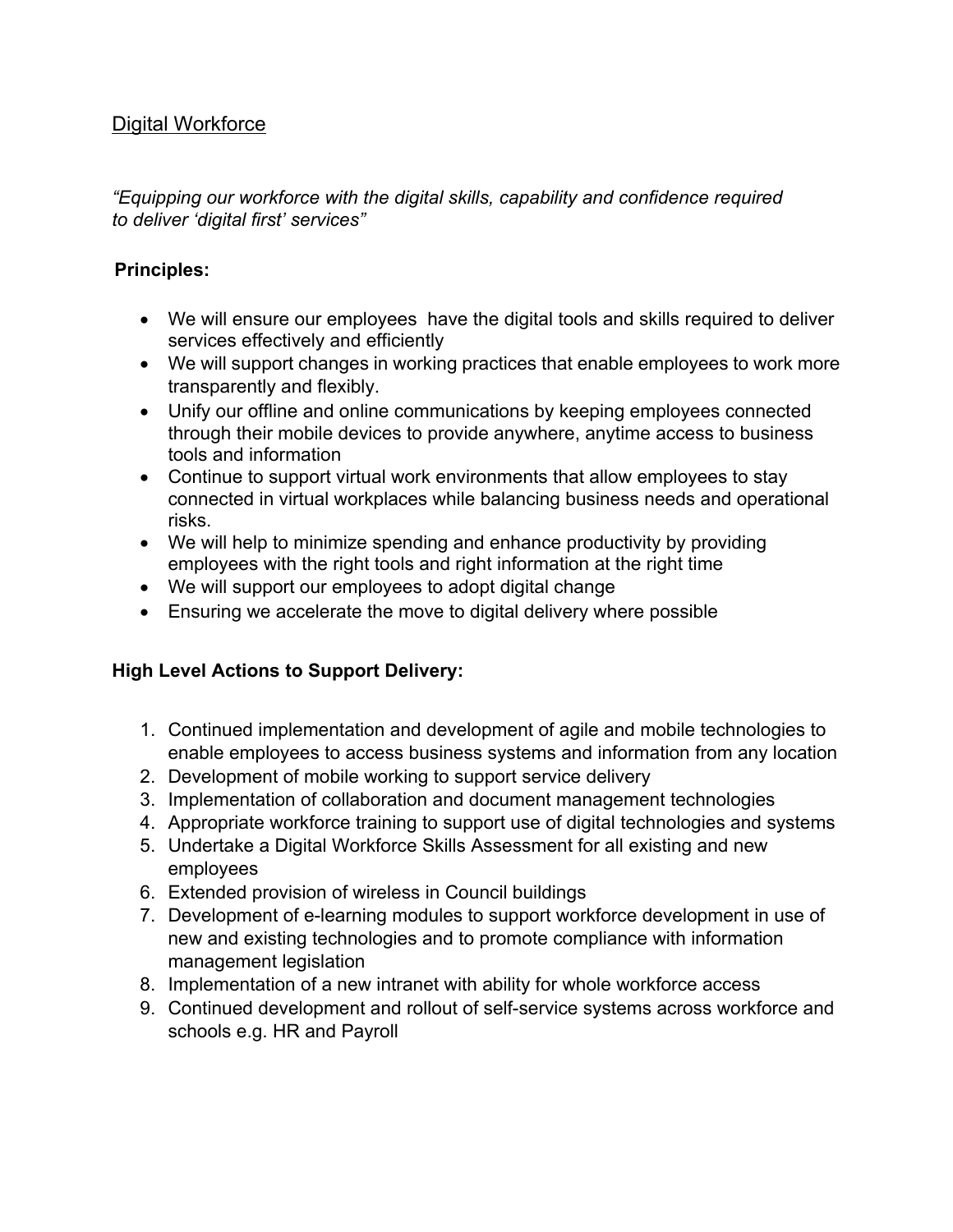### <span id="page-10-0"></span>**Digital Workforce**

*"Equipping our workforce with the digital skills, capability and confidence required to deliver 'digital first' services"*

#### **Principles:**

- We will ensure our employees have the digital tools and skills required to deliver services effectively and efficiently
- We will support changes in working practices that enable employees to work more transparently and flexibly.
- Unify our offline and online communications by keeping employees connected through their mobile devices to provide anywhere, anytime access to business tools and information
- Continue to support virtual work environments that allow employees to stay connected in virtual workplaces while balancing business needs and operational risks.
- We will help to minimize spending and enhance productivity by providing employees with the right tools and right information at the right time
- We will support our employees to adopt digital change
- Ensuring we accelerate the move to digital delivery where possible

- 1. Continued implementation and development of agile and mobile technologies to enable employees to access business systems and information from any location
- 2. Development of mobile working to support service delivery
- 3. Implementation of collaboration and document management technologies
- 4. Appropriate workforce training to support use of digital technologies and systems
- 5. Undertake a Digital Workforce Skills Assessment for all existing and new employees
- 6. Extended provision of wireless in Council buildings
- 7. Development of e-learning modules to support workforce development in use of new and existing technologies and to promote compliance with information management legislation
- 8. Implementation of a new intranet with ability for whole workforce access
- 9. Continued development and rollout of self-service systems across workforce and schools e.g. HR and Payroll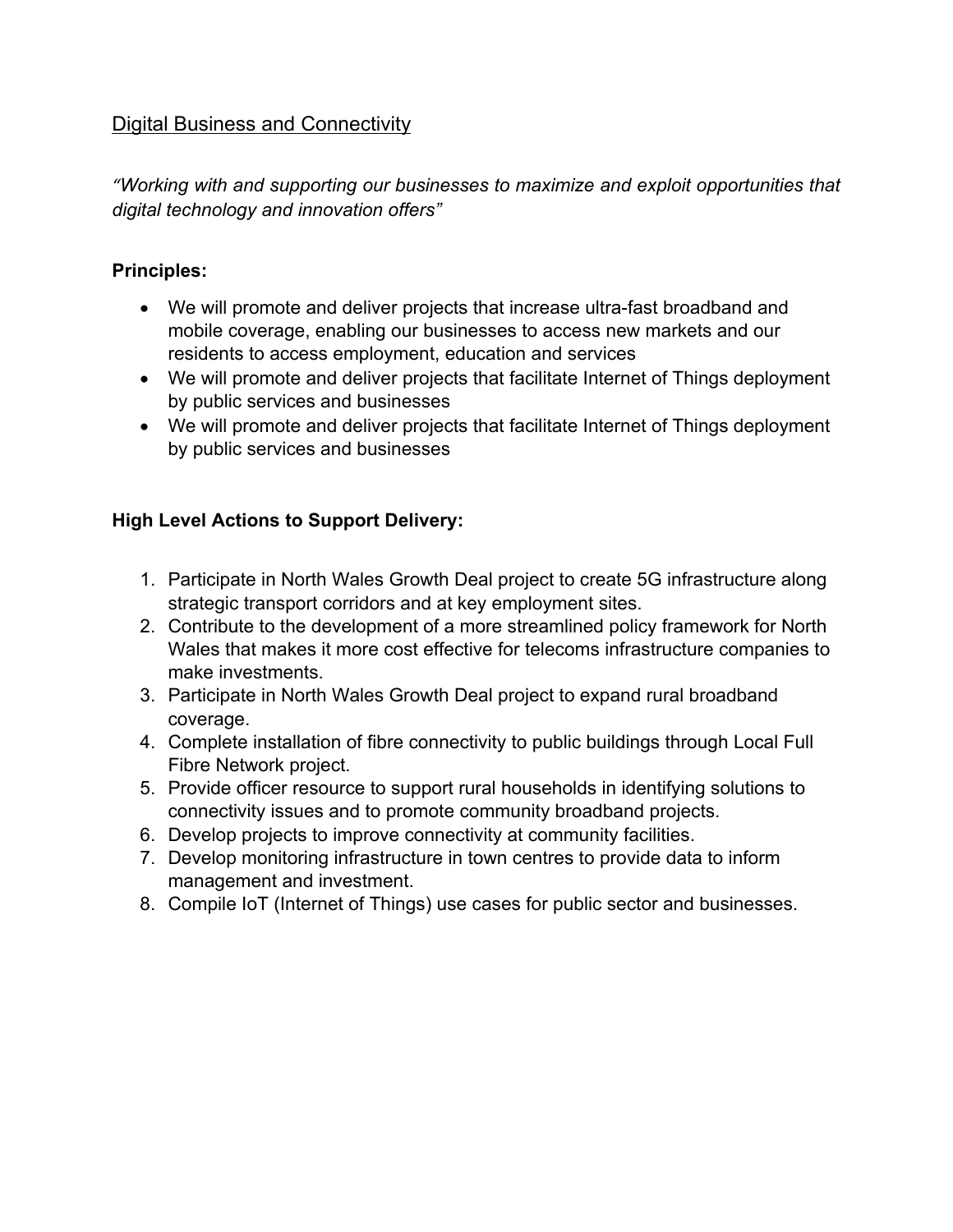### <span id="page-11-0"></span>Digital Business and Connectivity

*"Working with and supporting our businesses to maximize and exploit opportunities that digital technology and innovation offers"*

#### **Principles:**

- We will promote and deliver projects that increase ultra-fast broadband and mobile coverage, enabling our businesses to access new markets and our residents to access employment, education and services
- We will promote and deliver projects that facilitate Internet of Things deployment by public services and businesses
- We will promote and deliver projects that facilitate Internet of Things deployment by public services and businesses

- 1. Participate in North Wales Growth Deal project to create 5G infrastructure along strategic transport corridors and at key employment sites.
- 2. Contribute to the development of a more streamlined policy framework for North Wales that makes it more cost effective for telecoms infrastructure companies to make investments.
- 3. Participate in North Wales Growth Deal project to expand rural broadband coverage.
- 4. Complete installation of fibre connectivity to public buildings through Local Full Fibre Network project.
- 5. Provide officer resource to support rural households in identifying solutions to connectivity issues and to promote community broadband projects.
- 6. Develop projects to improve connectivity at community facilities.
- 7. Develop monitoring infrastructure in town centres to provide data to inform management and investment.
- 8. Compile IoT (Internet of Things) use cases for public sector and businesses.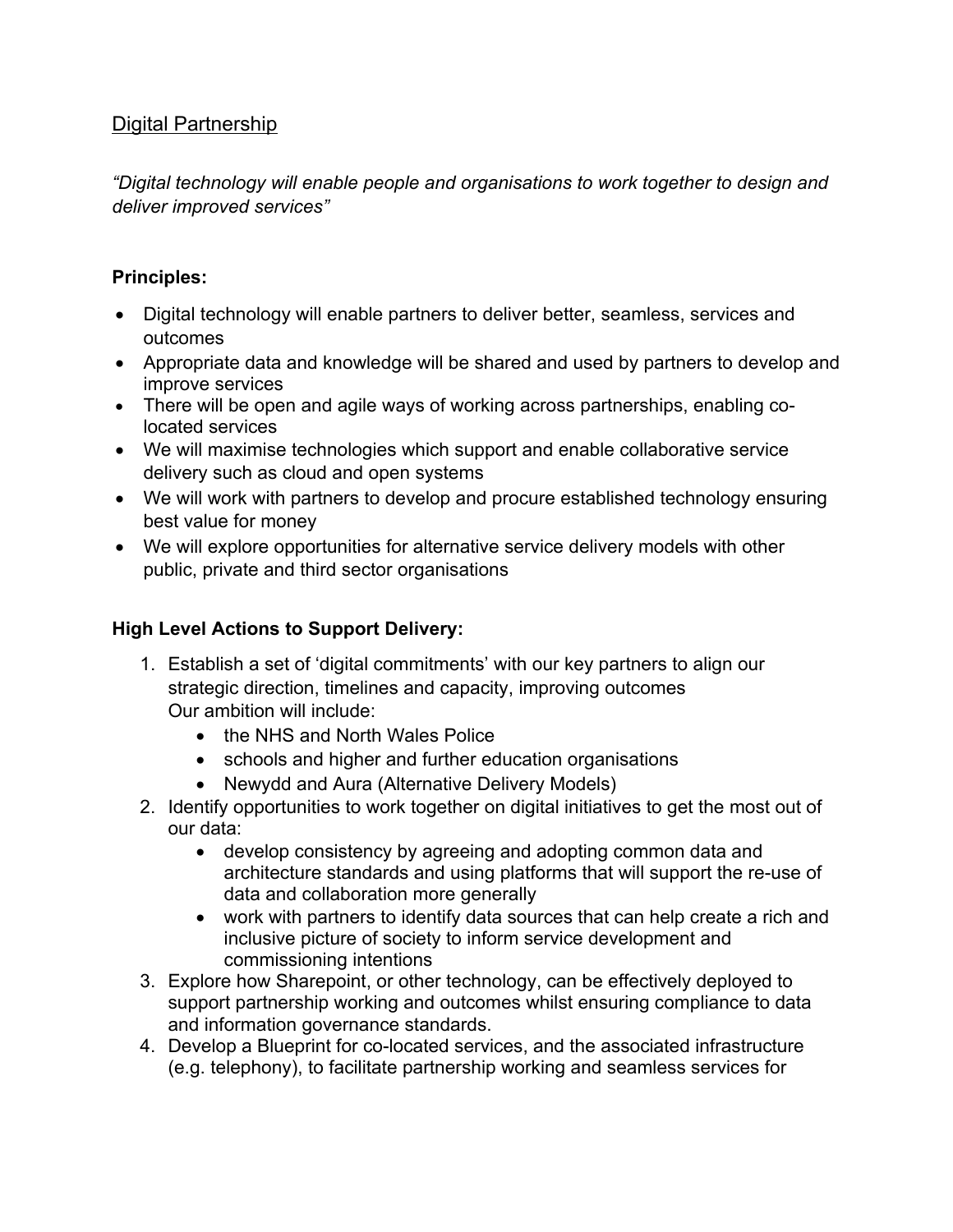## <span id="page-12-0"></span>Digital Partnership

*"Digital technology will enable people and organisations to work together to design and deliver improved services"*

### **Principles:**

- Digital technology will enable partners to deliver better, seamless, services and outcomes
- Appropriate data and knowledge will be shared and used by partners to develop and improve services
- There will be open and agile ways of working across partnerships, enabling colocated services
- We will maximise technologies which support and enable collaborative service delivery such as cloud and open systems
- We will work with partners to develop and procure established technology ensuring best value for money
- We will explore opportunities for alternative service delivery models with other public, private and third sector organisations

- 1. Establish a set of 'digital commitments' with our key partners to align our strategic direction, timelines and capacity, improving outcomes Our ambition will include:
	- the NHS and North Wales Police
	- schools and higher and further education organisations
	- Newydd and Aura (Alternative Delivery Models)
- 2. Identify opportunities to work together on digital initiatives to get the most out of our data:
	- develop consistency by agreeing and adopting common data and architecture standards and using platforms that will support the re-use of data and collaboration more generally
	- work with partners to identify data sources that can help create a rich and inclusive picture of society to inform service development and commissioning intentions
- 3. Explore how Sharepoint, or other technology, can be effectively deployed to support partnership working and outcomes whilst ensuring compliance to data and information governance standards.
- 4. Develop a Blueprint for co-located services, and the associated infrastructure (e.g. telephony), to facilitate partnership working and seamless services for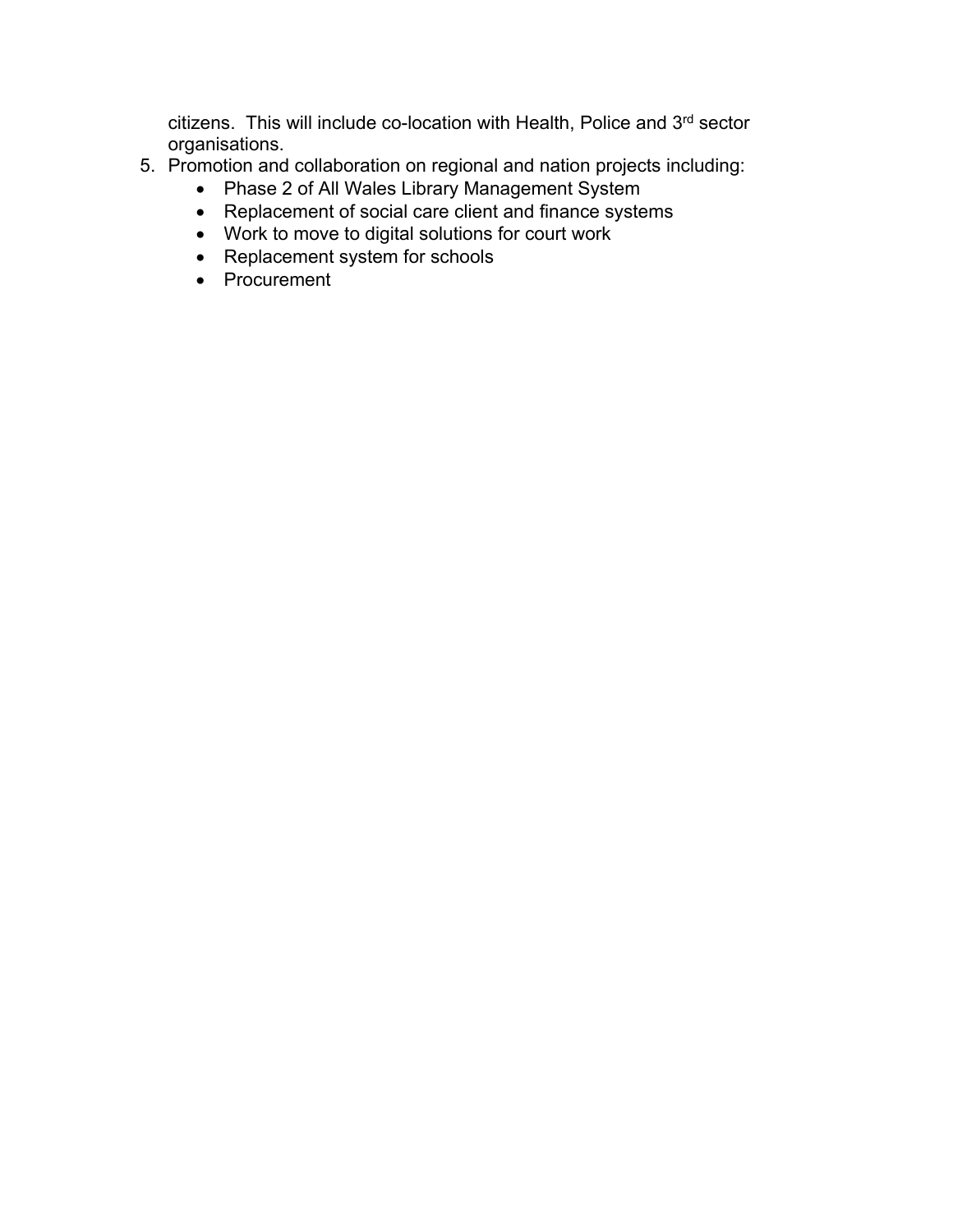citizens. This will include co-location with Health, Police and 3<sup>rd</sup> sector organisations.

- 5. Promotion and collaboration on regional and nation projects including:
	- Phase 2 of All Wales Library Management System
	- Replacement of social care client and finance systems
	- Work to move to digital solutions for court work
	- Replacement system for schools
	- Procurement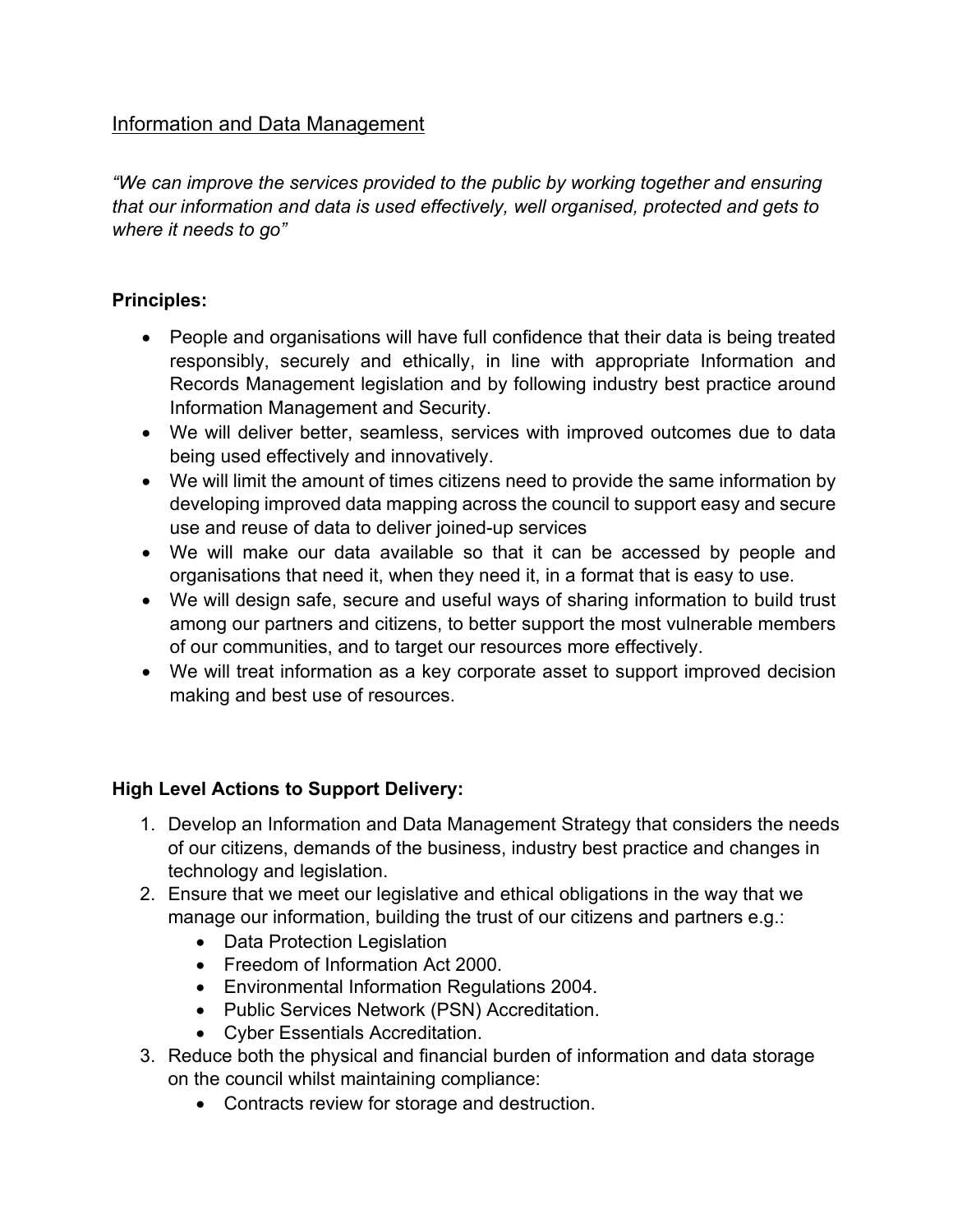## <span id="page-14-0"></span>Information and Data Management

*"We can improve the services provided to the public by working together and ensuring that our information and data is used effectively, well organised, protected and gets to where it needs to go"*

### **Principles:**

- People and organisations will have full confidence that their data is being treated responsibly, securely and ethically, in line with appropriate Information and Records Management legislation and by following industry best practice around Information Management and Security.
- We will deliver better, seamless, services with improved outcomes due to data being used effectively and innovatively.
- We will limit the amount of times citizens need to provide the same information by developing improved data mapping across the council to support easy and secure use and reuse of data to deliver joined-up services
- We will make our data available so that it can be accessed by people and organisations that need it, when they need it, in a format that is easy to use.
- We will design safe, secure and useful ways of sharing information to build trust among our partners and citizens, to better support the most vulnerable members of our communities, and to target our resources more effectively.
- We will treat information as a key corporate asset to support improved decision making and best use of resources.

- 1. Develop an Information and Data Management Strategy that considers the needs of our citizens, demands of the business, industry best practice and changes in technology and legislation.
- 2. Ensure that we meet our legislative and ethical obligations in the way that we manage our information, building the trust of our citizens and partners e.g.:
	- Data Protection Legislation
	- Freedom of Information Act 2000.
	- Environmental Information Regulations 2004.
	- Public Services Network (PSN) Accreditation.
	- Cyber Essentials Accreditation.
- 3. Reduce both the physical and financial burden of information and data storage on the council whilst maintaining compliance:
	- Contracts review for storage and destruction.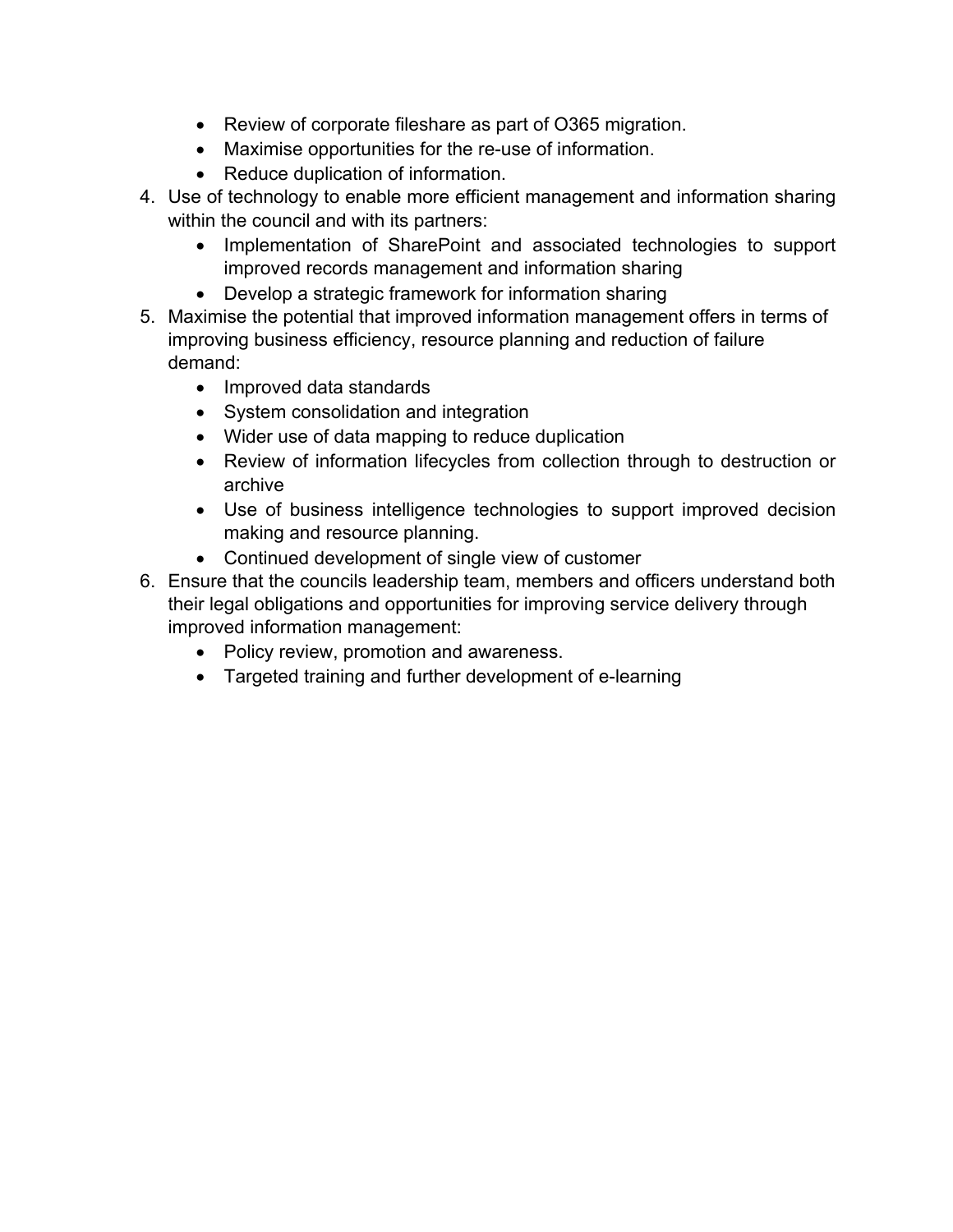- Review of corporate fileshare as part of O365 migration.
- Maximise opportunities for the re-use of information.
- Reduce duplication of information.
- 4. Use of technology to enable more efficient management and information sharing within the council and with its partners:
	- Implementation of SharePoint and associated technologies to support improved records management and information sharing
	- Develop a strategic framework for information sharing
- 5. Maximise the potential that improved information management offers in terms of improving business efficiency, resource planning and reduction of failure demand:
	- Improved data standards
	- System consolidation and integration
	- Wider use of data mapping to reduce duplication
	- Review of information lifecycles from collection through to destruction or archive
	- Use of business intelligence technologies to support improved decision making and resource planning.
	- Continued development of single view of customer
- 6. Ensure that the councils leadership team, members and officers understand both their legal obligations and opportunities for improving service delivery through improved information management:
	- Policy review, promotion and awareness.
	- Targeted training and further development of e-learning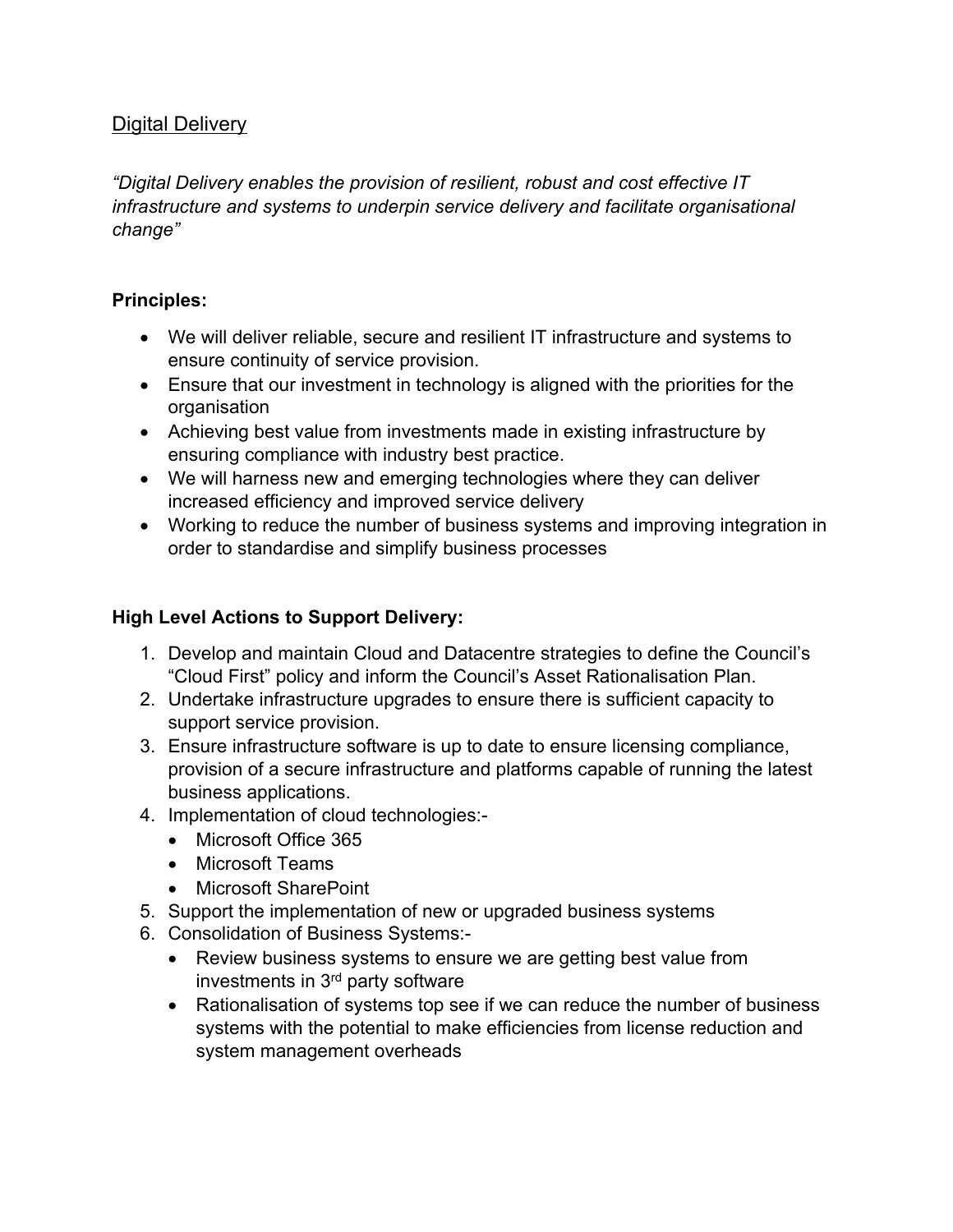## <span id="page-16-0"></span>Digital Delivery

*"Digital Delivery enables the provision of resilient, robust and cost effective IT infrastructure and systems to underpin service delivery and facilitate organisational change"*

### **Principles:**

- We will deliver reliable, secure and resilient IT infrastructure and systems to ensure continuity of service provision.
- Ensure that our investment in technology is aligned with the priorities for the organisation
- Achieving best value from investments made in existing infrastructure by ensuring compliance with industry best practice.
- We will harness new and emerging technologies where they can deliver increased efficiency and improved service delivery
- Working to reduce the number of business systems and improving integration in order to standardise and simplify business processes

- 1. Develop and maintain Cloud and Datacentre strategies to define the Council's "Cloud First" policy and inform the Council's Asset Rationalisation Plan.
- 2. Undertake infrastructure upgrades to ensure there is sufficient capacity to support service provision.
- 3. Ensure infrastructure software is up to date to ensure licensing compliance, provision of a secure infrastructure and platforms capable of running the latest business applications.
- 4. Implementation of cloud technologies:-
	- Microsoft Office 365
	- Microsoft Teams
	- Microsoft SharePoint
- 5. Support the implementation of new or upgraded business systems
- 6. Consolidation of Business Systems:-
	- Review business systems to ensure we are getting best value from investments in 3<sup>rd</sup> party software
	- Rationalisation of systems top see if we can reduce the number of business systems with the potential to make efficiencies from license reduction and system management overheads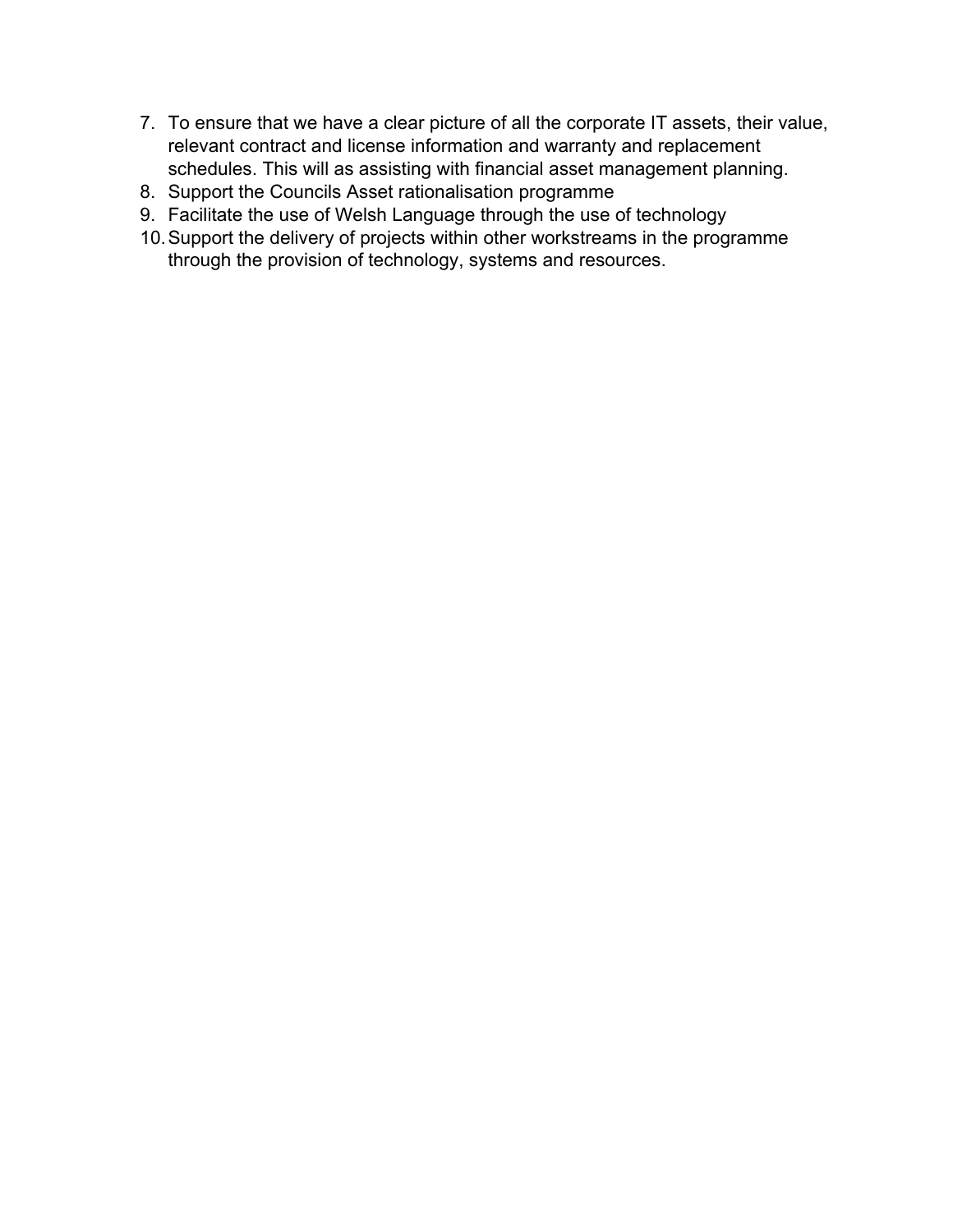- 7. To ensure that we have a clear picture of all the corporate IT assets, their value, relevant contract and license information and warranty and replacement schedules. This will as assisting with financial asset management planning.
- 8. Support the Councils Asset rationalisation programme
- 9. Facilitate the use of Welsh Language through the use of technology
- 10.Support the delivery of projects within other workstreams in the programme through the provision of technology, systems and resources.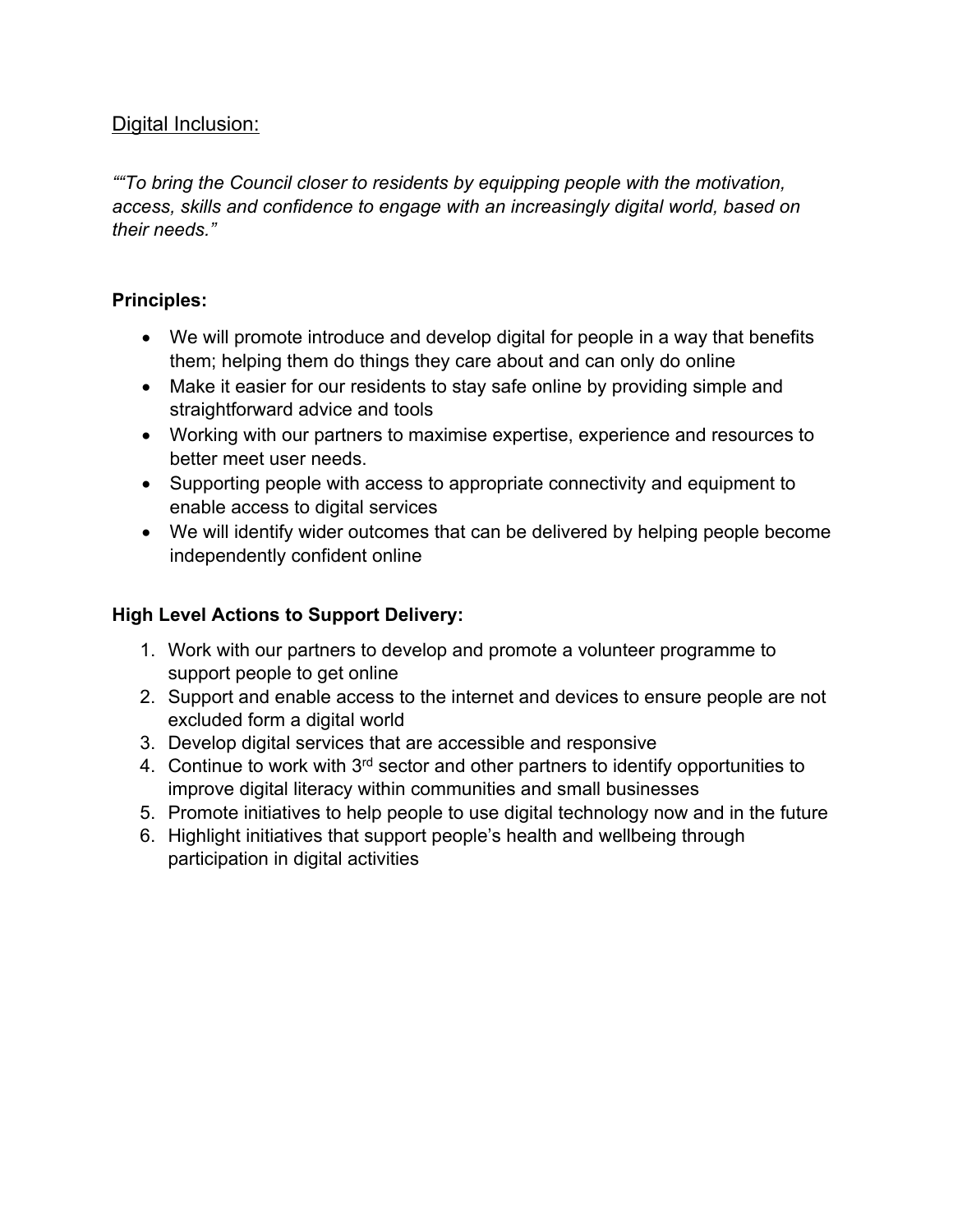## <span id="page-18-0"></span>Digital Inclusion:

*""To bring the Council closer to residents by equipping people with the motivation, access, skills and confidence to engage with an increasingly digital world, based on their needs."*

### **Principles:**

- We will promote introduce and develop digital for people in a way that benefits them; helping them do things they care about and can only do online
- Make it easier for our residents to stay safe online by providing simple and straightforward advice and tools
- Working with our partners to maximise expertise, experience and resources to better meet user needs.
- Supporting people with access to appropriate connectivity and equipment to enable access to digital services
- We will identify wider outcomes that can be delivered by helping people become independently confident online

- 1. Work with our partners to develop and promote a volunteer programme to support people to get online
- 2. Support and enable access to the internet and devices to ensure people are not excluded form a digital world
- 3. Develop digital services that are accessible and responsive
- 4. Continue to work with 3<sup>rd</sup> sector and other partners to identify opportunities to improve digital literacy within communities and small businesses
- 5. Promote initiatives to help people to use digital technology now and in the future
- 6. Highlight initiatives that support people's health and wellbeing through participation in digital activities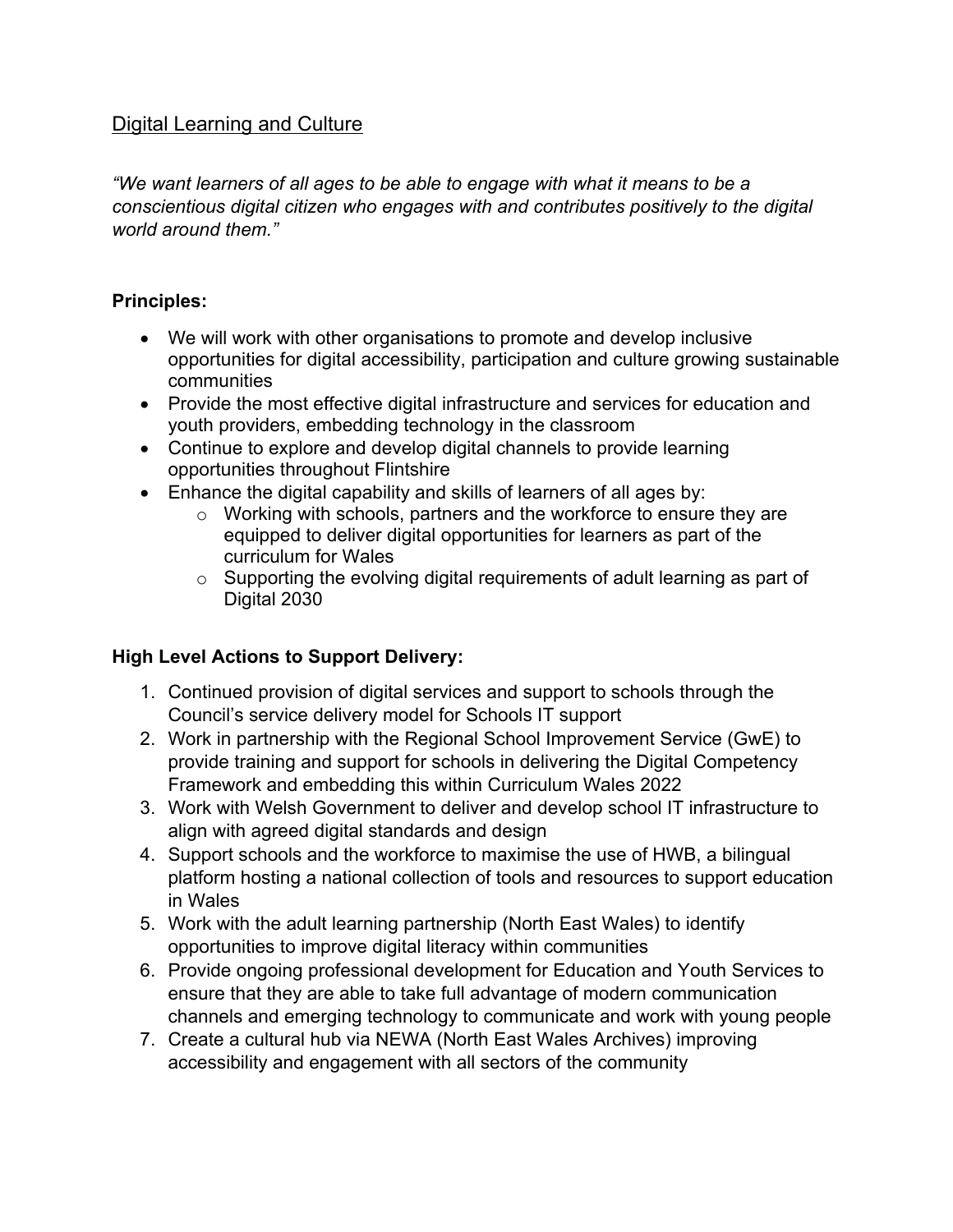### <span id="page-19-0"></span>Digital Learning and Culture

*"We want learners of all ages to be able to engage with what it means to be a conscientious digital citizen who engages with and contributes positively to the digital world around them."*

### **Principles:**

- We will work with other organisations to promote and develop inclusive opportunities for digital accessibility, participation and culture growing sustainable communities
- Provide the most effective digital infrastructure and services for education and youth providers, embedding technology in the classroom
- Continue to explore and develop digital channels to provide learning opportunities throughout Flintshire
- Enhance the digital capability and skills of learners of all ages by:
	- o Working with schools, partners and the workforce to ensure they are equipped to deliver digital opportunities for learners as part of the curriculum for Wales
	- o Supporting the evolving digital requirements of adult learning as part of Digital 2030

- 1. Continued provision of digital services and support to schools through the Council's service delivery model for Schools IT support
- 2. Work in partnership with the Regional School Improvement Service (GwE) to provide training and support for schools in delivering the Digital Competency Framework and embedding this within Curriculum Wales 2022
- 3. Work with Welsh Government to deliver and develop school IT infrastructure to align with agreed digital standards and design
- 4. Support schools and the workforce to maximise the use of HWB, a bilingual platform hosting a national collection of tools and resources to support education in Wales
- 5. Work with the adult learning partnership (North East Wales) to identify opportunities to improve digital literacy within communities
- 6. Provide ongoing professional development for Education and Youth Services to ensure that they are able to take full advantage of modern communication channels and emerging technology to communicate and work with young people
- 7. Create a cultural hub via NEWA (North East Wales Archives) improving accessibility and engagement with all sectors of the community